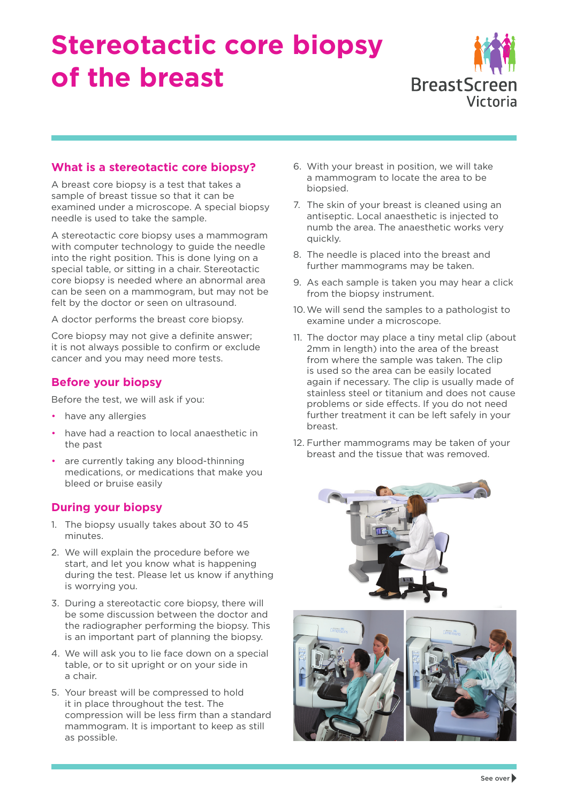# **Stereotactic core biopsy of the breast**



# **What is a stereotactic core biopsy?**

A breast core biopsy is a test that takes a sample of breast tissue so that it can be examined under a microscope. A special biopsy needle is used to take the sample.

A stereotactic core biopsy uses a mammogram with computer technology to guide the needle into the right position. This is done lying on a special table, or sitting in a chair. Stereotactic core biopsy is needed where an abnormal area can be seen on a mammogram, but may not be felt by the doctor or seen on ultrasound.

A doctor performs the breast core biopsy.

Core biopsy may not give a definite answer; it is not always possible to confirm or exclude cancer and you may need more tests.

# **Before your biopsy**

Before the test, we will ask if you:

- have any allergies
- have had a reaction to local anaesthetic in the past
- are currently taking any blood-thinning medications, or medications that make you bleed or bruise easily

# **During your biopsy**

- 1. The biopsy usually takes about 30 to 45 minutes.
- 2. We will explain the procedure before we start, and let you know what is happening during the test. Please let us know if anything is worrying you.
- 3. During a stereotactic core biopsy, there will be some discussion between the doctor and the radiographer performing the biopsy. This is an important part of planning the biopsy.
- 4. We will ask you to lie face down on a special table, or to sit upright or on your side in a chair.
- 5. Your breast will be compressed to hold it in place throughout the test. The compression will be less firm than a standard mammogram. It is important to keep as still as possible.
- 6. With your breast in position, we will take a mammogram to locate the area to be biopsied.
- 7. The skin of your breast is cleaned using an antiseptic. Local anaesthetic is injected to numb the area. The anaesthetic works very quickly.
- 8. The needle is placed into the breast and further mammograms may be taken.
- 9. As each sample is taken you may hear a click from the biopsy instrument.
- 10. We will send the samples to a pathologist to examine under a microscope.
- 11. The doctor may place a tiny metal clip (about 2mm in length) into the area of the breast from where the sample was taken. The clip is used so the area can be easily located again if necessary. The clip is usually made of stainless steel or titanium and does not cause problems or side effects. If you do not need further treatment it can be left safely in your breast.
- 12. Further mammograms may be taken of your breast and the tissue that was removed.